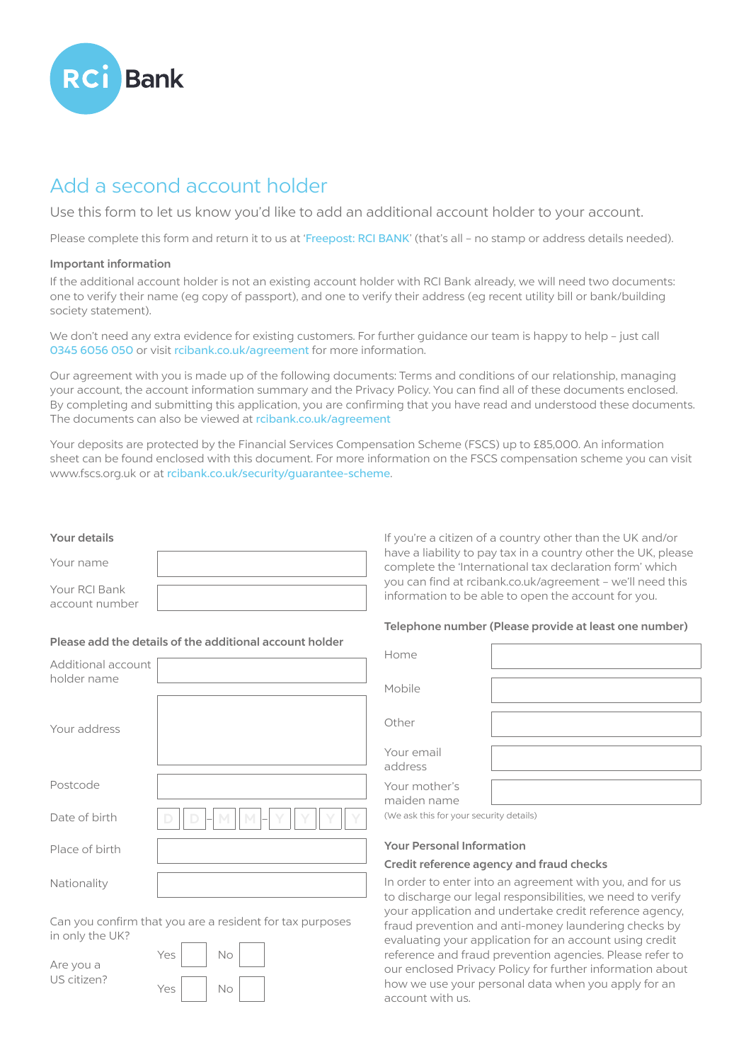

# Add a second account holder

Use this form to let us know you'd like to add an additional account holder to your account.

Please complete this form and return it to us at 'Freepost: RCI BANK' (that's all - no stamp or address details needed).

### Important information

If the additional account holder is not an existing account holder with RCI Bank already, we will need two documents: one to verify their name (eg copy of passport), and one to verify their address (eg recent utility bill or bank/building society statement).

We don't need any extra evidence for existing customers. For further guidance our team is happy to help - just call 0345 6056 050 or visit rcibank.co.uk/agreement for more information.

Our agreement with you is made up of the following documents: Terms and conditions of our relationship, managing your account, the account information summary and the Privacy Policy. You can find all of these documents enclosed. By completing and submitting this application, you are confirming that you have read and understood these documents. The documents can also be viewed at rcibank.co.uk/agreement

Your deposits are protected by the Financial Services Compensation Scheme (FSCS) up to £85,000. An information sheet can be found enclosed with this document. For more information on the FSCS compensation scheme you can visit www.fscs.org.uk or at rcibank.co.uk/security/guarantee-scheme.

### Your details

| Your name      |  |
|----------------|--|
| Your RCI Bank  |  |
| account number |  |

## Please add the details of the additional account holder

| Additional account<br>holder name |              |
|-----------------------------------|--------------|
| Your address                      |              |
| Postcode                          |              |
| Date of birth                     | M<br>M.<br>D |
| Place of birth                    |              |
| Nationality                       |              |

Can you confirm that you are a resident for tax purposes in only the UK?

| Are you a   | Yes | No |  |
|-------------|-----|----|--|
| US citizen? | Yes | No |  |

If you're a citizen of a country other than the UK and/or have a liability to pay tax in a country other the UK, please complete the 'International tax declaration form' which you can find at rcibank.co.uk/agreement – we'll need this information to be able to open the account for you.

#### Telephone number (Please provide at least one number)

| Home                         |  |
|------------------------------|--|
| Mobile                       |  |
| Other                        |  |
| Your email<br>address        |  |
| Your mother's<br>maiden name |  |

(We ask this for your security details)

#### Your Personal Information

#### Credit reference agency and fraud checks

In order to enter into an agreement with you, and for us to discharge our legal responsibilities, we need to verify your application and undertake credit reference agency, fraud prevention and anti-money laundering checks by evaluating your application for an account using credit reference and fraud prevention agencies. Please refer to our enclosed Privacy Policy for further information about how we use your personal data when you apply for an account with us.